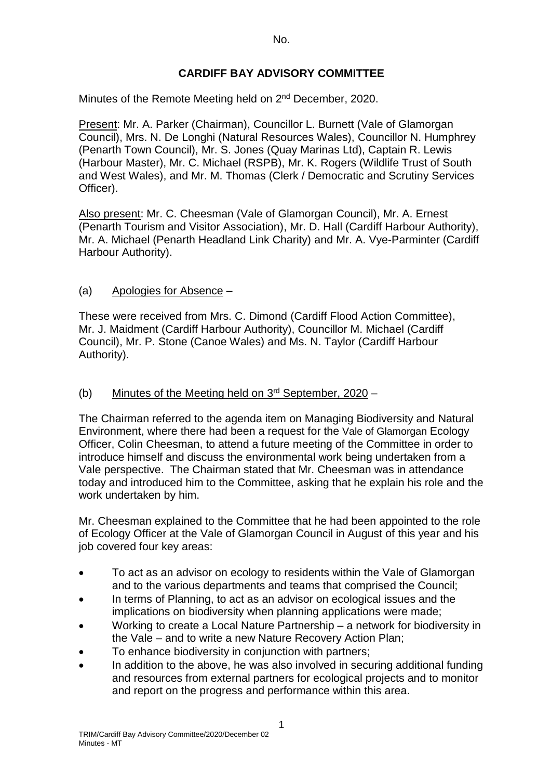## **CARDIFF BAY ADVISORY COMMITTEE**

Minutes of the Remote Meeting held on 2<sup>nd</sup> December, 2020.

Present: Mr. A. Parker (Chairman), Councillor L. Burnett (Vale of Glamorgan Council), Mrs. N. De Longhi (Natural Resources Wales), Councillor N. Humphrey (Penarth Town Council), Mr. S. Jones (Quay Marinas Ltd), Captain R. Lewis (Harbour Master), Mr. C. Michael (RSPB), Mr. K. Rogers (Wildlife Trust of South and West Wales), and Mr. M. Thomas (Clerk / Democratic and Scrutiny Services Officer).

Also present: Mr. C. Cheesman (Vale of Glamorgan Council), Mr. A. Ernest (Penarth Tourism and Visitor Association), Mr. D. Hall (Cardiff Harbour Authority), Mr. A. Michael (Penarth Headland Link Charity) and Mr. A. Vye-Parminter (Cardiff Harbour Authority).

### (a) Apologies for Absence –

These were received from Mrs. C. Dimond (Cardiff Flood Action Committee), Mr. J. Maidment (Cardiff Harbour Authority), Councillor M. Michael (Cardiff Council), Mr. P. Stone (Canoe Wales) and Ms. N. Taylor (Cardiff Harbour Authority).

### (b) Minutes of the Meeting held on  $3<sup>rd</sup>$  September, 2020 –

The Chairman referred to the agenda item on Managing Biodiversity and Natural Environment, where there had been a request for the Vale of Glamorgan Ecology Officer, Colin Cheesman, to attend a future meeting of the Committee in order to introduce himself and discuss the environmental work being undertaken from a Vale perspective. The Chairman stated that Mr. Cheesman was in attendance today and introduced him to the Committee, asking that he explain his role and the work undertaken by him.

Mr. Cheesman explained to the Committee that he had been appointed to the role of Ecology Officer at the Vale of Glamorgan Council in August of this year and his job covered four key areas:

- To act as an advisor on ecology to residents within the Vale of Glamorgan and to the various departments and teams that comprised the Council;
- In terms of Planning, to act as an advisor on ecological issues and the implications on biodiversity when planning applications were made;
- Working to create a Local Nature Partnership a network for biodiversity in the Vale – and to write a new Nature Recovery Action Plan;
- To enhance biodiversity in conjunction with partners;
- In addition to the above, he was also involved in securing additional funding and resources from external partners for ecological projects and to monitor and report on the progress and performance within this area.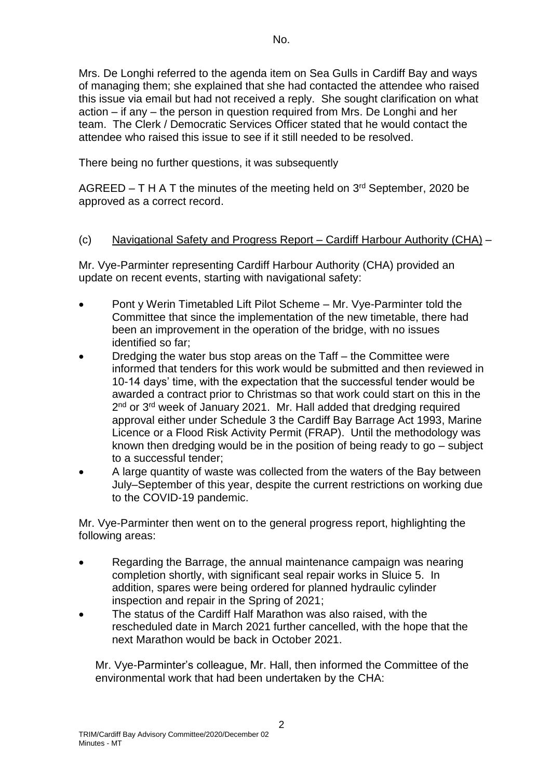Mrs. De Longhi referred to the agenda item on Sea Gulls in Cardiff Bay and ways of managing them; she explained that she had contacted the attendee who raised this issue via email but had not received a reply. She sought clarification on what action – if any – the person in question required from Mrs. De Longhi and her team. The Clerk / Democratic Services Officer stated that he would contact the attendee who raised this issue to see if it still needed to be resolved.

There being no further questions, it was subsequently

AGREED  $- T H A T$  the minutes of the meeting held on  $3<sup>rd</sup>$  September, 2020 be approved as a correct record.

# (c) Navigational Safety and Progress Report – Cardiff Harbour Authority (CHA) –

Mr. Vye-Parminter representing Cardiff Harbour Authority (CHA) provided an update on recent events, starting with navigational safety:

- Pont y Werin Timetabled Lift Pilot Scheme Mr. Vye-Parminter told the Committee that since the implementation of the new timetable, there had been an improvement in the operation of the bridge, with no issues identified so far;
- Dredging the water bus stop areas on the Taff the Committee were informed that tenders for this work would be submitted and then reviewed in 10-14 days' time, with the expectation that the successful tender would be awarded a contract prior to Christmas so that work could start on this in the 2<sup>nd</sup> or 3<sup>rd</sup> week of January 2021. Mr. Hall added that dredging required approval either under Schedule 3 the Cardiff Bay Barrage Act 1993, Marine Licence or a Flood Risk Activity Permit (FRAP). Until the methodology was known then dredging would be in the position of being ready to go – subject to a successful tender;
- A large quantity of waste was collected from the waters of the Bay between July–September of this year, despite the current restrictions on working due to the COVID-19 pandemic.

Mr. Vye-Parminter then went on to the general progress report, highlighting the following areas:

- Regarding the Barrage, the annual maintenance campaign was nearing completion shortly, with significant seal repair works in Sluice 5. In addition, spares were being ordered for planned hydraulic cylinder inspection and repair in the Spring of 2021;
- The status of the Cardiff Half Marathon was also raised, with the rescheduled date in March 2021 further cancelled, with the hope that the next Marathon would be back in October 2021.

Mr. Vye-Parminter's colleague, Mr. Hall, then informed the Committee of the environmental work that had been undertaken by the CHA: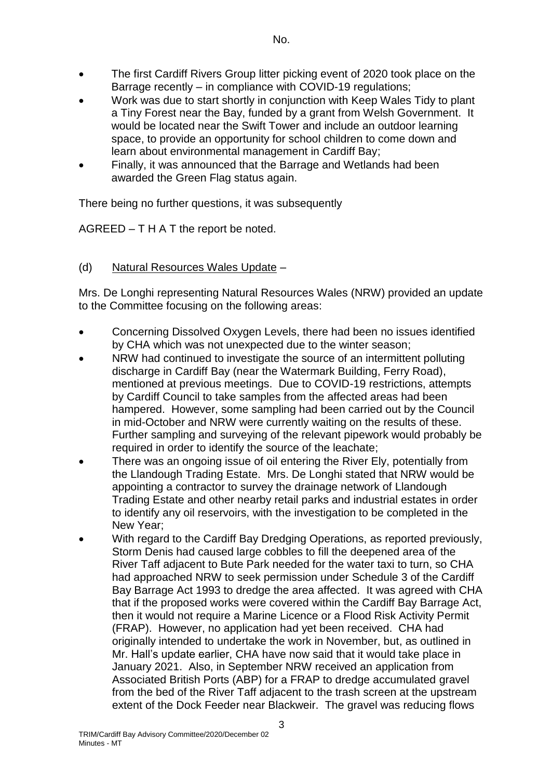- The first Cardiff Rivers Group litter picking event of 2020 took place on the Barrage recently – in compliance with COVID-19 regulations;
- Work was due to start shortly in conjunction with Keep Wales Tidy to plant a Tiny Forest near the Bay, funded by a grant from Welsh Government. It would be located near the Swift Tower and include an outdoor learning space, to provide an opportunity for school children to come down and learn about environmental management in Cardiff Bay;
- Finally, it was announced that the Barrage and Wetlands had been awarded the Green Flag status again.

There being no further questions, it was subsequently

AGREED – T H A T the report be noted.

### (d) Natural Resources Wales Update –

Mrs. De Longhi representing Natural Resources Wales (NRW) provided an update to the Committee focusing on the following areas:

- Concerning Dissolved Oxygen Levels, there had been no issues identified by CHA which was not unexpected due to the winter season;
- NRW had continued to investigate the source of an intermittent polluting discharge in Cardiff Bay (near the Watermark Building, Ferry Road), mentioned at previous meetings. Due to COVID-19 restrictions, attempts by Cardiff Council to take samples from the affected areas had been hampered. However, some sampling had been carried out by the Council in mid-October and NRW were currently waiting on the results of these. Further sampling and surveying of the relevant pipework would probably be required in order to identify the source of the leachate;
- There was an ongoing issue of oil entering the River Ely, potentially from the Llandough Trading Estate. Mrs. De Longhi stated that NRW would be appointing a contractor to survey the drainage network of Llandough Trading Estate and other nearby retail parks and industrial estates in order to identify any oil reservoirs, with the investigation to be completed in the New Year;
- With regard to the Cardiff Bay Dredging Operations, as reported previously, Storm Denis had caused large cobbles to fill the deepened area of the River Taff adjacent to Bute Park needed for the water taxi to turn, so CHA had approached NRW to seek permission under Schedule 3 of the Cardiff Bay Barrage Act 1993 to dredge the area affected. It was agreed with CHA that if the proposed works were covered within the Cardiff Bay Barrage Act, then it would not require a Marine Licence or a Flood Risk Activity Permit (FRAP). However, no application had yet been received. CHA had originally intended to undertake the work in November, but, as outlined in Mr. Hall's update earlier, CHA have now said that it would take place in January 2021. Also, in September NRW received an application from Associated British Ports (ABP) for a FRAP to dredge accumulated gravel from the bed of the River Taff adjacent to the trash screen at the upstream extent of the Dock Feeder near Blackweir. The gravel was reducing flows

3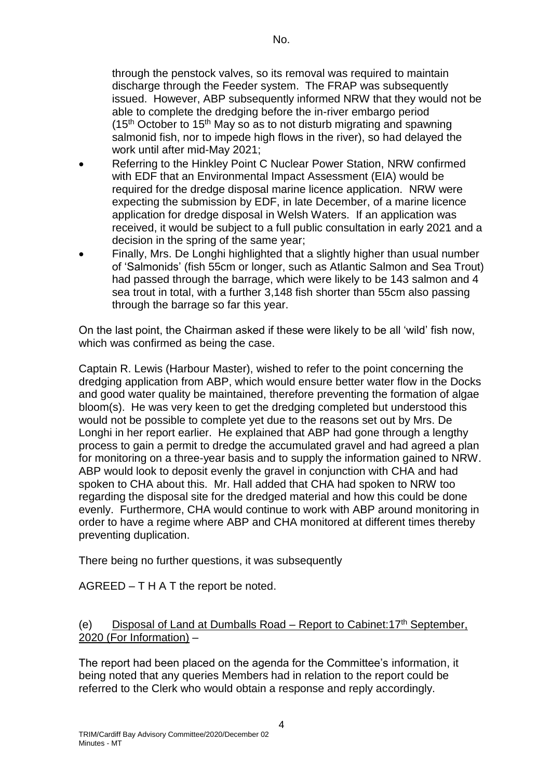through the penstock valves, so its removal was required to maintain discharge through the Feeder system. The FRAP was subsequently issued. However, ABP subsequently informed NRW that they would not be able to complete the dredging before the in-river embargo period  $(15<sup>th</sup> October to 15<sup>th</sup> May so as to not disturb migrating and spawning$ salmonid fish, nor to impede high flows in the river), so had delayed the work until after mid-May 2021;

- Referring to the Hinkley Point C Nuclear Power Station, NRW confirmed with EDF that an Environmental Impact Assessment (EIA) would be required for the dredge disposal marine licence application. NRW were expecting the submission by EDF, in late December, of a marine licence application for dredge disposal in Welsh Waters. If an application was received, it would be subject to a full public consultation in early 2021 and a decision in the spring of the same year;
- Finally, Mrs. De Longhi highlighted that a slightly higher than usual number of 'Salmonids' (fish 55cm or longer, such as Atlantic Salmon and Sea Trout) had passed through the barrage, which were likely to be 143 salmon and 4 sea trout in total, with a further 3,148 fish shorter than 55cm also passing through the barrage so far this year.

On the last point, the Chairman asked if these were likely to be all 'wild' fish now, which was confirmed as being the case.

Captain R. Lewis (Harbour Master), wished to refer to the point concerning the dredging application from ABP, which would ensure better water flow in the Docks and good water quality be maintained, therefore preventing the formation of algae bloom(s). He was very keen to get the dredging completed but understood this would not be possible to complete yet due to the reasons set out by Mrs. De Longhi in her report earlier. He explained that ABP had gone through a lengthy process to gain a permit to dredge the accumulated gravel and had agreed a plan for monitoring on a three-year basis and to supply the information gained to NRW. ABP would look to deposit evenly the gravel in conjunction with CHA and had spoken to CHA about this. Mr. Hall added that CHA had spoken to NRW too regarding the disposal site for the dredged material and how this could be done evenly. Furthermore, CHA would continue to work with ABP around monitoring in order to have a regime where ABP and CHA monitored at different times thereby preventing duplication.

There being no further questions, it was subsequently

AGREED – T H A T the report be noted.

### (e) Disposal of Land at Dumballs Road – Report to Cabinet:  $17<sup>th</sup>$  September, 2020 (For Information) –

The report had been placed on the agenda for the Committee's information, it being noted that any queries Members had in relation to the report could be referred to the Clerk who would obtain a response and reply accordingly.

4